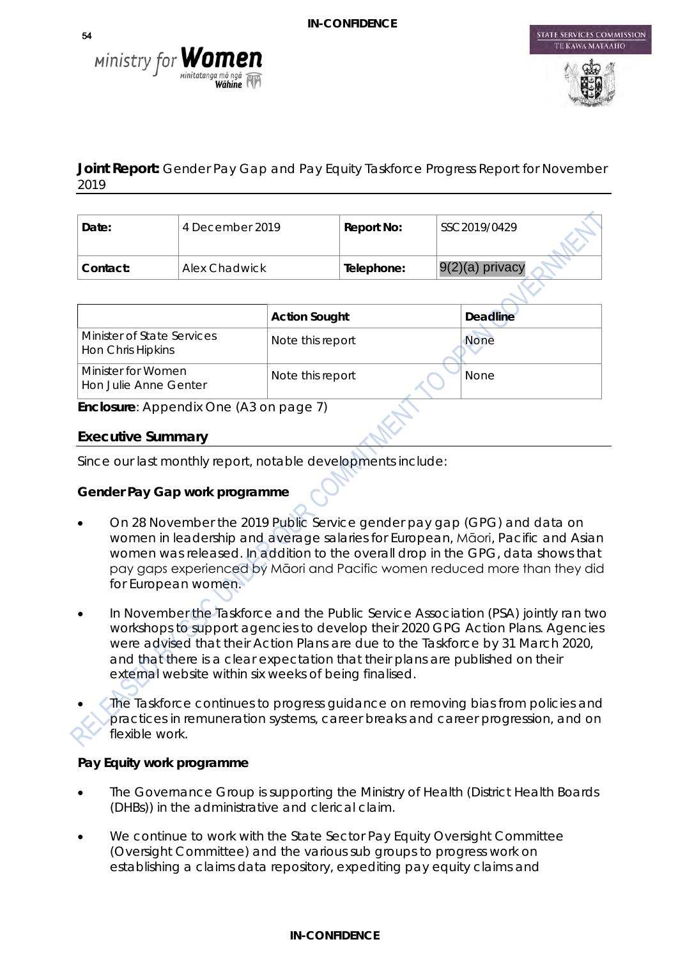



STATE SERVICES COMMISSION

# **Joint Report:** Gender Pay Gap and Pay Equity Taskforce Progress Report for November 2019

| Date:    | 4 December 2019 | Report No: | SSC2019/0429      |
|----------|-----------------|------------|-------------------|
| Contact: | Alex Chadwick   | Telephone: | $9(2)(a)$ privacy |

|                                                 | <b>Action Sought</b> | <b>Deadline</b> |
|-------------------------------------------------|----------------------|-----------------|
| Minister of State Services<br>Hon Chris Hipkins | Note this report     | <b>None</b>     |
| Minister for Women<br>Hon Julie Anne Genter     | Note this report     | <b>None</b>     |

**Enclosure**: Appendix One (A3 on page 7)

# **Executive Summary**

Since our last monthly report, notable developments include:

# **Gender Pay Gap work programme**

- On 28 November the 2019 Public Service gender pay gap (GPG) and data on women in leadership and average salaries for European, Māori, Pacific and Asian women was released. In addition to the overall drop in the GPG, data shows that pay gaps experienced by Māori and Pacific women reduced more than they did for European women.
- In November the Taskforce and the Public Service Association (PSA) jointly ran two workshops to support agencies to develop their 2020 GPG Action Plans. Agencies were advised that their Action Plans are due to the Taskforce by 31 March 2020, and that there is a clear expectation that their plans are published on their external website within six weeks of being finalised.
- The Taskforce continues to progress guidance on removing bias from policies and practices in remuneration systems, career breaks and career progression, and on flexible work.

# **Pay Equity work programme**

- The Governance Group is supporting the Ministry of Health (District Health Boards (DHBs)) in the administrative and clerical claim.
- We continue to work with the State Sector Pay Equity Oversight Committee (Oversight Committee) and the various sub groups to progress work on establishing a claims data repository, expediting pay equity claims and

#### **IN-CONFIDENCE**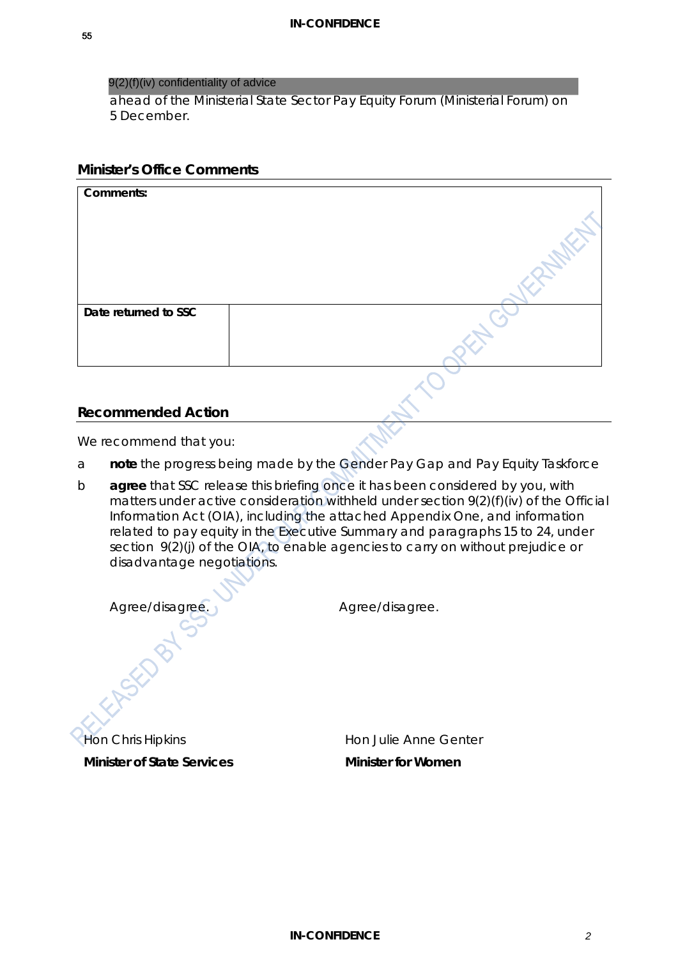#### 9(2)(f)(iv) confidentiality of advice

ahead of the Ministerial State Sector Pay Equity Forum (Ministerial Forum) on 5 December.

#### **Minister's Office Comments**

| Comments:            |  |
|----------------------|--|
| Date returned to SSC |  |

### **Recommended Action**

We recommend that you:

- a **note** the progress being made by the Gender Pay Gap and Pay Equity Taskforce
- b **agree** that SSC release this briefing once it has been considered by you, with matters under active consideration withheld under section 9(2)(f)(iv) of the Official Information Act (OIA), including the attached Appendix One, and information related to pay equity in the Executive Summary and paragraphs 15 to 24, under section 9(2)(j) of the OIA, to enable agencies to carry on without prejudice or disadvantage negotiations.

*Agree/disagree. Agree/disagree.*

Hon Chris Hipkins **Minister of State Services**

Hon Julie Anne Genter **Minister for Women**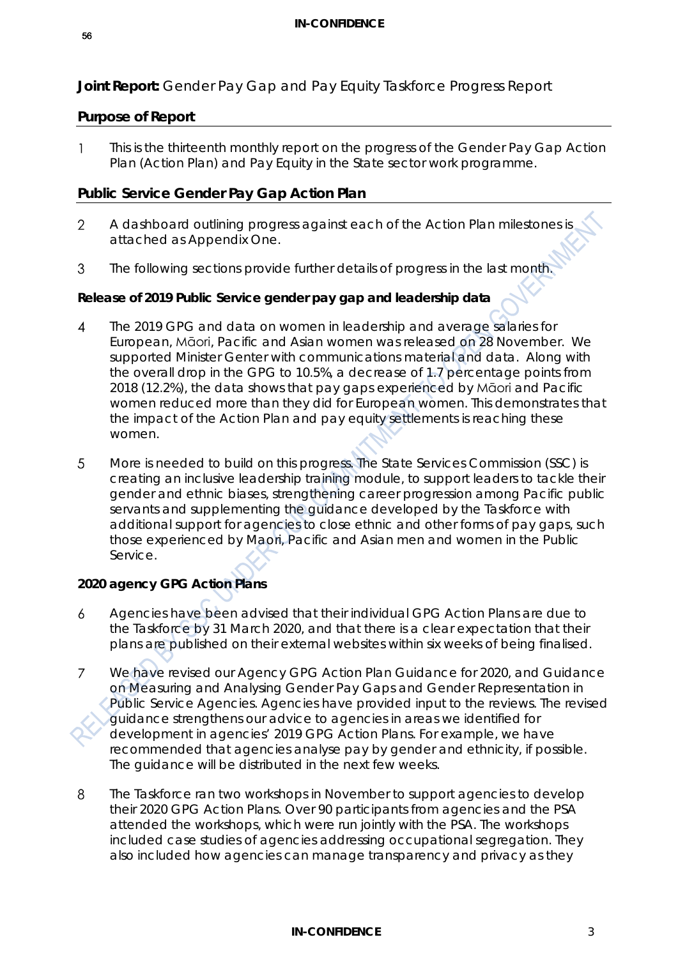# **Joint Report:** Gender Pay Gap and Pay Equity Taskforce Progress Report

### **Purpose of Report**

This is the thirteenth monthly report on the progress of the Gender Pay Gap Action  $\mathbf{1}$ Plan (Action Plan) and Pay Equity in the State sector work programme.

# **Public Service Gender Pay Gap Action Plan**

- A dashboard outlining progress against each of the Action Plan milestones is  $\overline{2}$ attached as Appendix One.
- The following sections provide further details of progress in the last month. 3

### **Release of 2019 Public Service gender pay gap and leadership data**

- The 2019 GPG and data on women in leadership and average salaries for  $\boldsymbol{\Lambda}$ European, Māori, Pacific and Asian women was released on 28 November. We supported Minister Genter with communications material and data. Along with the overall drop in the GPG to 10.5%, a decrease of 1.7 percentage points from 2018 (12.2%), the data shows that pay gaps experienced by Māori and Pacific women reduced more than they did for European women. This demonstrates that the impact of the Action Plan and pay equity settlements is reaching these women.
- More is needed to build on this progress. The State Services Commission (SSC) is 5 creating an inclusive leadership training module, to support leaders to tackle their gender and ethnic biases, strengthening career progression among Pacific public servants and supplementing the guidance developed by the Taskforce with additional support for agencies to close ethnic and other forms of pay gaps, such those experienced by Maori, Pacific and Asian men and women in the Public Service.

# **2020 agency GPG Action Plans**

- 6 Agencies have been advised that their individual GPG Action Plans are due to the Taskforce by 31 March 2020, and that there is a clear expectation that their plans are published on their external websites within six weeks of being finalised.
- $\overline{7}$ We have revised our Agency GPG Action Plan Guidance for 2020, and Guidance on Measuring and Analysing Gender Pay Gaps and Gender Representation in Public Service Agencies. Agencies have provided input to the reviews. The revised guidance strengthens our advice to agencies in areas we identified for development in agencies' 2019 GPG Action Plans. For example, we have recommended that agencies analyse pay by gender and ethnicity, if possible. The guidance will be distributed in the next few weeks.
- $\mathsf{R}$ The Taskforce ran two workshops in November to support agencies to develop their 2020 GPG Action Plans. Over 90 participants from agencies and the PSA attended the workshops, which were run jointly with the PSA. The workshops included case studies of agencies addressing occupational segregation. They also included how agencies can manage transparency and privacy as they

#### **IN-CONFIDENCE** 3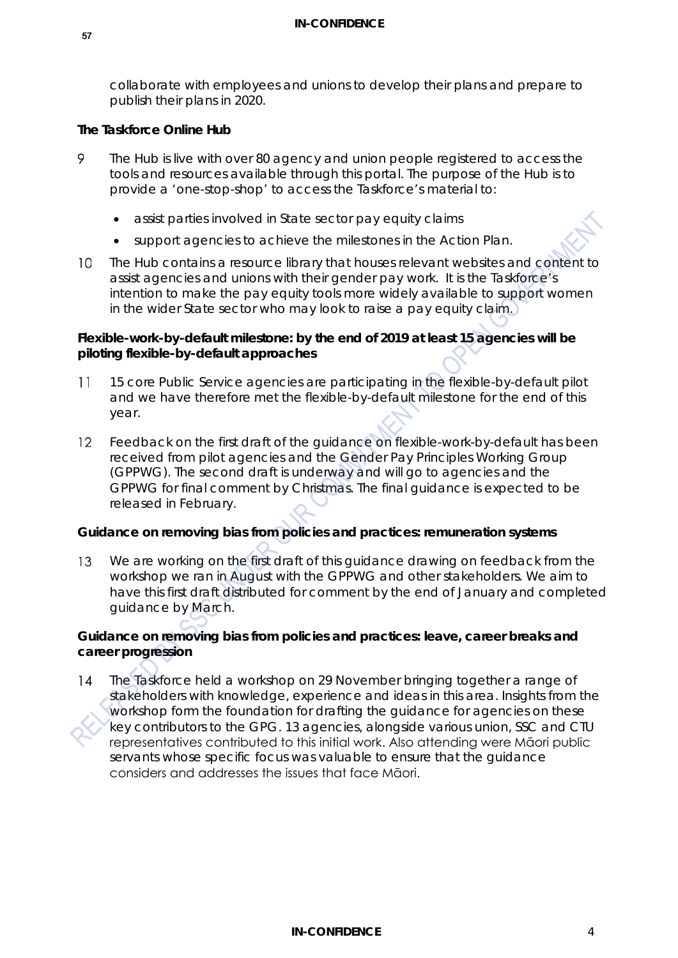collaborate with employees and unions to develop their plans and prepare to publish their plans in 2020.

#### **The Taskforce Online Hub**

- 9 The Hub is live with over 80 agency and union people registered to access the tools and resources available through this portal. The purpose of the Hub is to provide a 'one-stop-shop' to access the Taskforce's material to:
	- assist parties involved in State sector pay equity claims
	- support agencies to achieve the milestones in the Action Plan.
- The Hub contains a resource library that houses relevant websites and content to  $10<sup>1</sup>$ assist agencies and unions with their gender pay work. It is the Taskforce's intention to make the pay equity tools more widely available to support women in the wider State sector who may look to raise a pay equity claim.

#### **Flexible-work-by-default milestone: by the end of 2019 at least 15 agencies will be piloting flexible-by-default approaches**

- 15 core Public Service agencies are participating in the flexible-by-default pilot  $11$ and we have therefore met the flexible-by-default milestone for the end of this year.
- Feedback on the first draft of the guidance on flexible-work-by-default has been  $12$ received from pilot agencies and the Gender Pay Principles Working Group (GPPWG). The second draft is underway and will go to agencies and the GPPWG for final comment by Christmas. The final guidance is expected to be released in February.

#### **Guidance on removing bias from policies and practices: remuneration systems**

We are working on the first draft of this guidance drawing on feedback from the 13 workshop we ran in August with the GPPWG and other stakeholders. We aim to have this first draft distributed for comment by the end of January and completed guidance by March.

#### **Guidance on removing bias from policies and practices: leave, career breaks and career progression**

The Taskforce held a workshop on 29 November bringing together a range of  $14$ stakeholders with knowledge, experience and ideas in this area. Insights from the workshop form the foundation for drafting the guidance for agencies on these key contributors to the GPG. 13 agencies, alongside various union, SSC and CTU representatives contributed to this initial work. Also attending were Māori public servants whose specific focus was valuable to ensure that the guidance considers and addresses the issues that face Māori.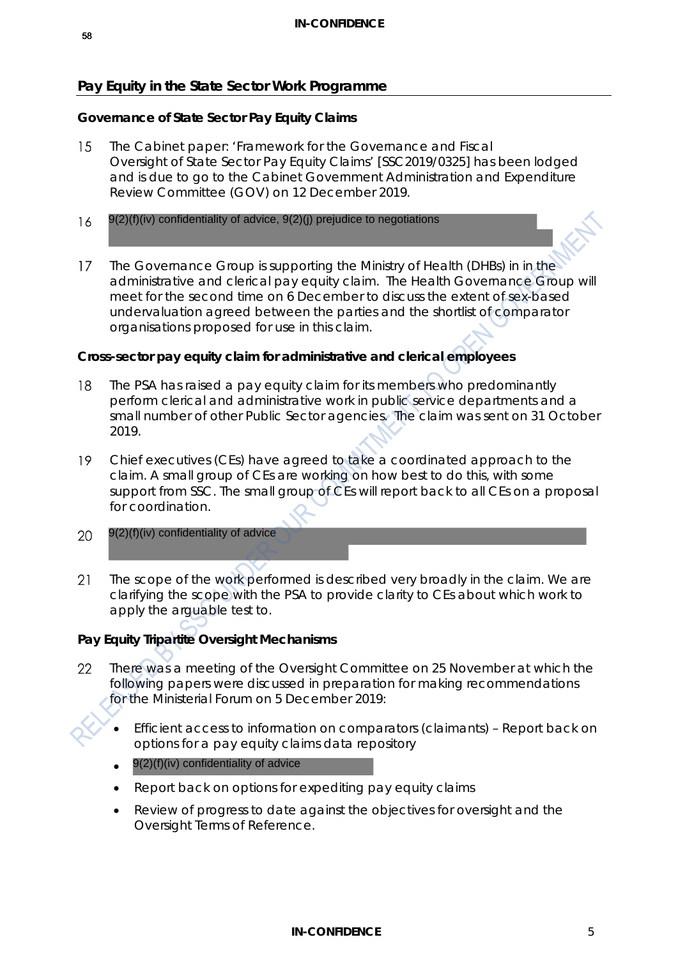# **Pay Equity in the State Sector Work Programme**

### **Governance of State Sector Pay Equity Claims**

- 15 The Cabinet paper: 'Framework for the Governance and Fiscal Oversight of State Sector Pay Equity Claims' [SSC2019/0325] has been lodged and is due to go to the Cabinet Government Administration and Expenditure Review Committee (GOV) on 12 December 2019.
- 16
- 9(2)(f)(iv) confidentiality of advice, 9(2)(j) prejudice to negotiations<br>The Governance Group is supporting the Ministry of He<br>administrative and clerical pay equity claim. The Heal<br>meet for the second time on 6 December The Governance Group is supporting the Ministry of Health (DHBs) in in the  $17$ administrative and clerical pay equity claim. The Health Governance Group will meet for the second time on 6 December to discuss the extent of sex-based undervaluation agreed between the parties and the shortlist of comparator organisations proposed for use in this claim.

### **Cross-sector pay equity claim for administrative and clerical employees**

- 18 The PSA has raised a pay equity claim for its members who predominantly perform clerical and administrative work in public service departments and a small number of other Public Sector agencies. The claim was sent on 31 October 2019.
- 19 Chief executives (CEs) have agreed to take a coordinated approach to the claim. A small group of CEs are working on how best to do this, with some support from SSC. The small group of CEs will report back to all CEs on a proposal for coordination.
- 20
- $21$ The scope of the work performed is described very broadly in the claim. We are clarifying the scope with the PSA to provide clarity to CEs about which work to apply the arguable test to.

# **Pay Equity Tripartite Oversight Mechanisms**

- There was a meeting of the Oversight Committee on 25 November at which the 22 following papers were discussed in preparation for making recommendations for the Ministerial Forum on 5 December 2019:
	- Efficient access to information on comparators (claimants) Report back on options for a pay equity claims data repository
	- 9(2)(f)(iv) confidentiality of advice
	- Report back on options for expediting pay equity claims
	- Review of progress to date against the objectives for oversight and the Oversight Terms of Reference.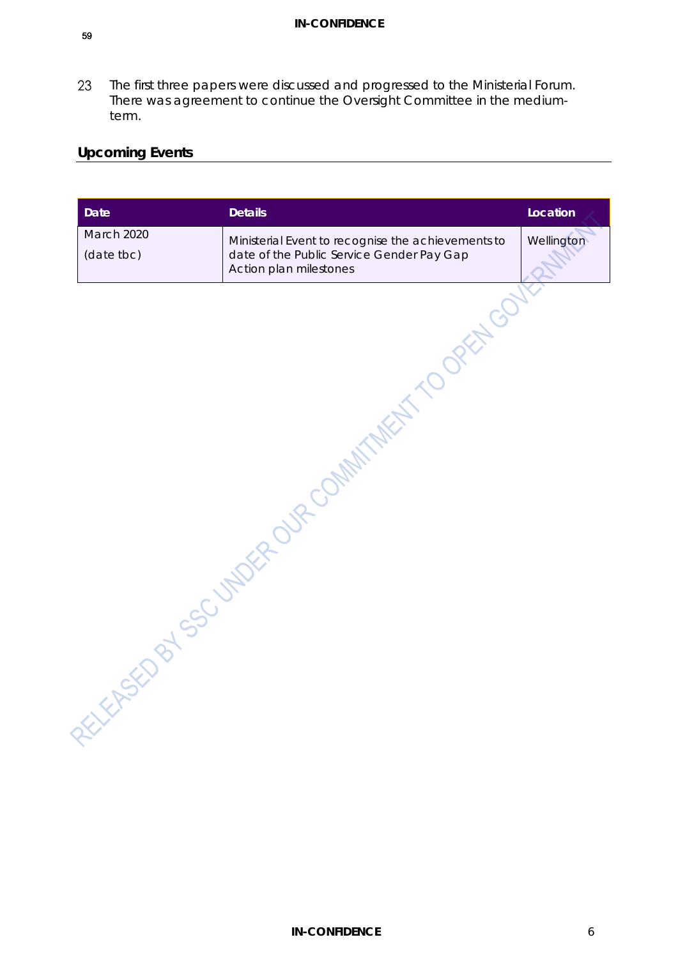23 The first three papers were discussed and progressed to the Ministerial Forum. There was agreement to continue the Oversight Committee in the mediumterm.

# **Upcoming Events**

| <b>Date</b>              | <b>Details</b>                                                                                                            | Location   |
|--------------------------|---------------------------------------------------------------------------------------------------------------------------|------------|
| March 2020<br>(date tbc) | Ministerial Event to recognise the achievements to<br>date of the Public Service Gender Pay Gap<br>Action plan milestones | Wellington |
|                          | TEASED BOOM ASSESSMENT ROOM MANUFACTURE OF PARTY                                                                          |            |